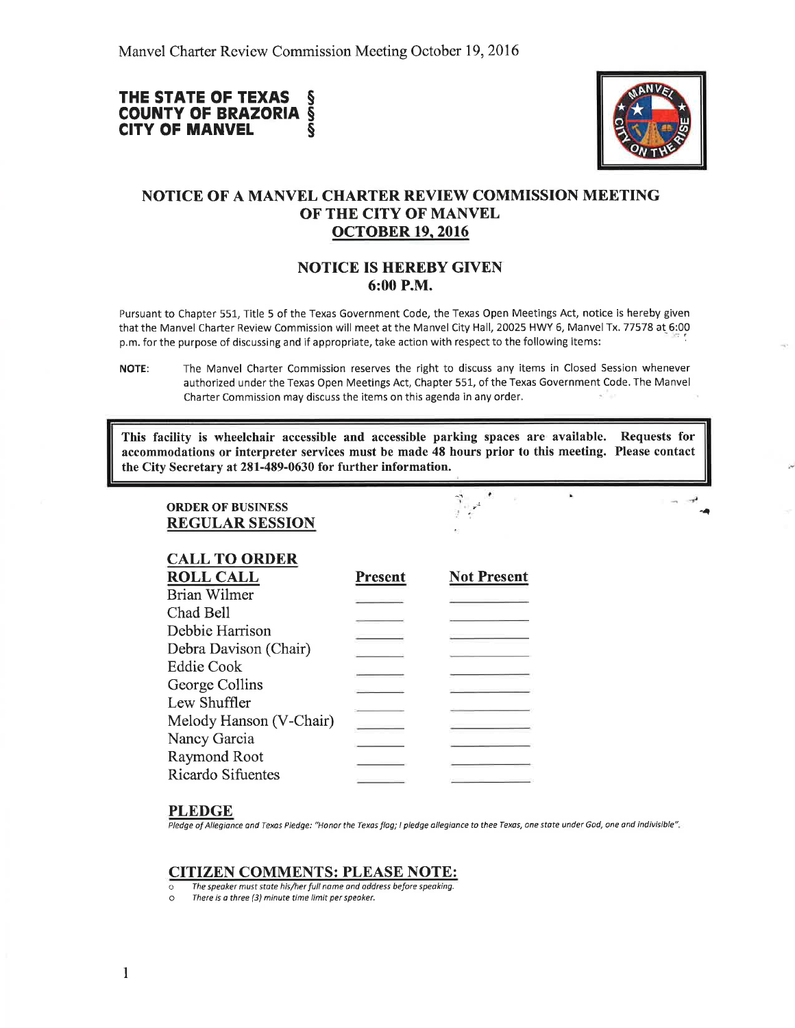#### THE STATE OF TEXAS COUNTY OF BRAZORIA **CITY OF MANVEL** s s s



**P** 

# NOTICE OF A MANVEL CHARTER REVIEW COMMISSION MEETING OF THE CITY OF MANVEL ocroBER 19.2016

## NOTICE IS HEREBY GIVEN 6:00 P.M.

Pursuant to Chapter 551, Title 5 of the Texas Government Code, the Texas Open Meetings Act, notice is hereby given that the Manvel Charter Review Commission will meet at the Manvel City Hall, 20025 HWY 6, Manvel Tx. 77578 at 6:00 p.m. for the purpose of discussing and if appropriate, take action with respect to the following items: ' :

This facility is wheelchair accessible and accessible parking spaces are available. Requests for accommodations or interpreter services must be made 48 hours prior to this meeting. Please contact the City Secretary at 281-489-0630 for further information.

ORDER OF BUSINESS REGULAR SESSION

| Present | <b>Not Present</b> |
|---------|--------------------|
|         |                    |
|         |                    |
|         |                    |
|         |                    |
|         |                    |
|         |                    |
|         |                    |
|         |                    |
|         |                    |
|         |                    |
|         |                    |
|         |                    |

### PLEDGE

Pledge of Allegiance and Texas Pledge: "Honor the Texas flag; I pledge allegiance to thee Texas, one state under God, one and indivisible".

### CITIZEN COMMENTS: PLEASE NOTE:

- $\overline{\circ}$  The speaker must state his/her full name and address before speaking.<br>  $\circ$  There is a three (3) minute time limit per speaker.
- There is a three (3) minute time limit per speaker.

NOTE: The Manvel Charter Commission reserves the right to discuss any items in Closed Session whenever authorized under the Texas Open Meetings Act, Chapter 551, of the Texas Government Code. The Manvel Charter Commission may discuss the items on this agenda in any order.